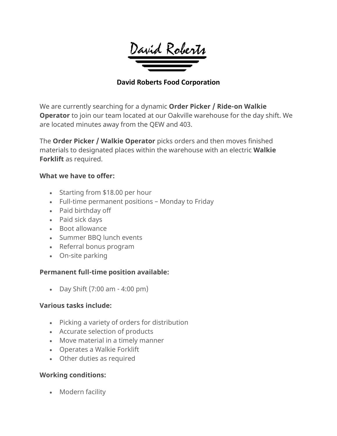

## **David Roberts Food Corporation**

We are currently searching for a dynamic **Order Picker / Ride-on Walkie Operator** to join our team located at our Oakville warehouse for the day shift. We are located minutes away from the QEW and 403.

The **Order Picker / Walkie Operator** picks orders and then moves finished materials to designated places within the warehouse with an electric **Walkie Forklift** as required.

#### **What we have to offer:**

- Starting from \$18.00 per hour
- Full-time permanent positions Monday to Friday
- Paid birthday off
- Paid sick days
- Boot allowance
- Summer BBQ lunch events
- Referral bonus program
- On-site parking

## **Permanent full-time position available:**

• Day Shift (7:00 am - 4:00 pm)

#### **Various tasks include:**

- Picking a variety of orders for distribution
- Accurate selection of products
- Move material in a timely manner
- Operates a Walkie Forklift
- Other duties as required

## **Working conditions:**

• Modern facility